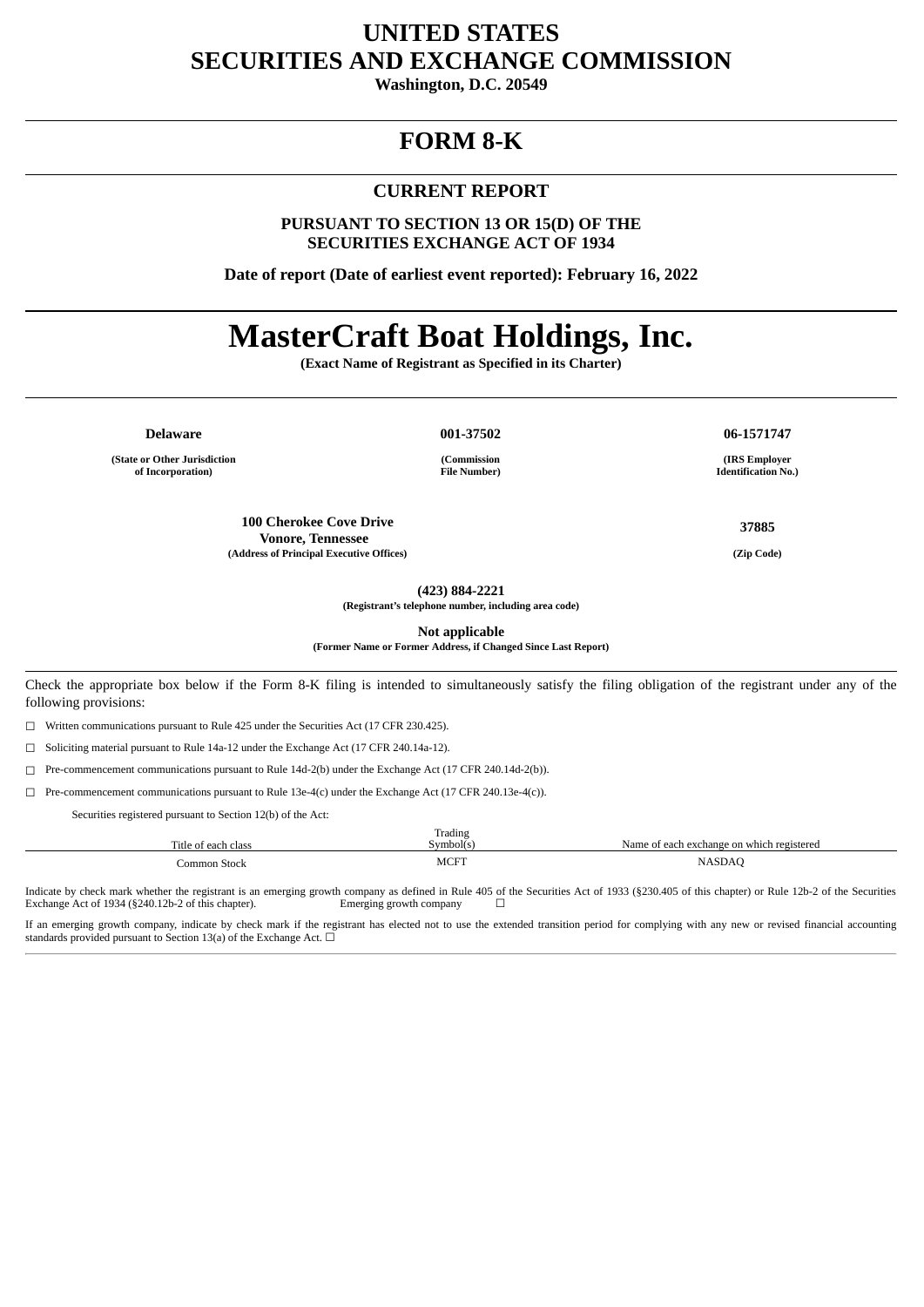## **UNITED STATES SECURITIES AND EXCHANGE COMMISSION**

**Washington, D.C. 20549**

## **FORM 8-K**

#### **CURRENT REPORT**

**PURSUANT TO SECTION 13 OR 15(D) OF THE SECURITIES EXCHANGE ACT OF 1934**

**Date of report (Date of earliest event reported): February 16, 2022**

# **MasterCraft Boat Holdings, Inc.**

**(Exact Name of Registrant as Specified in its Charter)**

**(State or Other Jurisdiction of Incorporation)**

**Delaware 001-37502 06-1571747**

**(Commission File Number)**

**100 Cherokee Cove Drive Vonore, Tennessee (Address of Principal Executive Offices) (Zip Code)**

**(IRS Employer Identification No.)**

**37885**

**(423) 884-2221**

**(Registrant's telephone number, including area code)**

**Not applicable**

**(Former Name or Former Address, if Changed Since Last Report)**

Check the appropriate box below if the Form 8-K filing is intended to simultaneously satisfy the filing obligation of the registrant under any of the following provisions:

☐ Written communications pursuant to Rule 425 under the Securities Act (17 CFR 230.425).

☐ Soliciting material pursuant to Rule 14a-12 under the Exchange Act (17 CFR 240.14a-12).

☐ Pre-commencement communications pursuant to Rule 14d-2(b) under the Exchange Act (17 CFR 240.14d-2(b)).

☐ Pre-commencement communications pursuant to Rule 13e-4(c) under the Exchange Act (17 CFR 240.13e-4(c)).

Securities registered pursuant to Section 12(b) of the Act:

| Title of each class | Trading<br>Symbol(s | Name of each exchange on which registered |
|---------------------|---------------------|-------------------------------------------|
| Common Stock        | <b>MCFT</b>         | <b>NASDAC</b><br>____                     |

Indicate by check mark whether the registrant is an emerging growth company as defined in Rule 405 of the Securities Act of 1933 (§230.405 of this chapter) or Rule 12b-2 of the Securities Exchange Act of 1934 (§240.12b-2 o Exchange Act of 1934 (§240.12b-2 of this chapter).

If an emerging growth company, indicate by check mark if the registrant has elected not to use the extended transition period for complying with any new or revised financial accounting standards provided pursuant to Section 13(a) of the Exchange Act.  $\Box$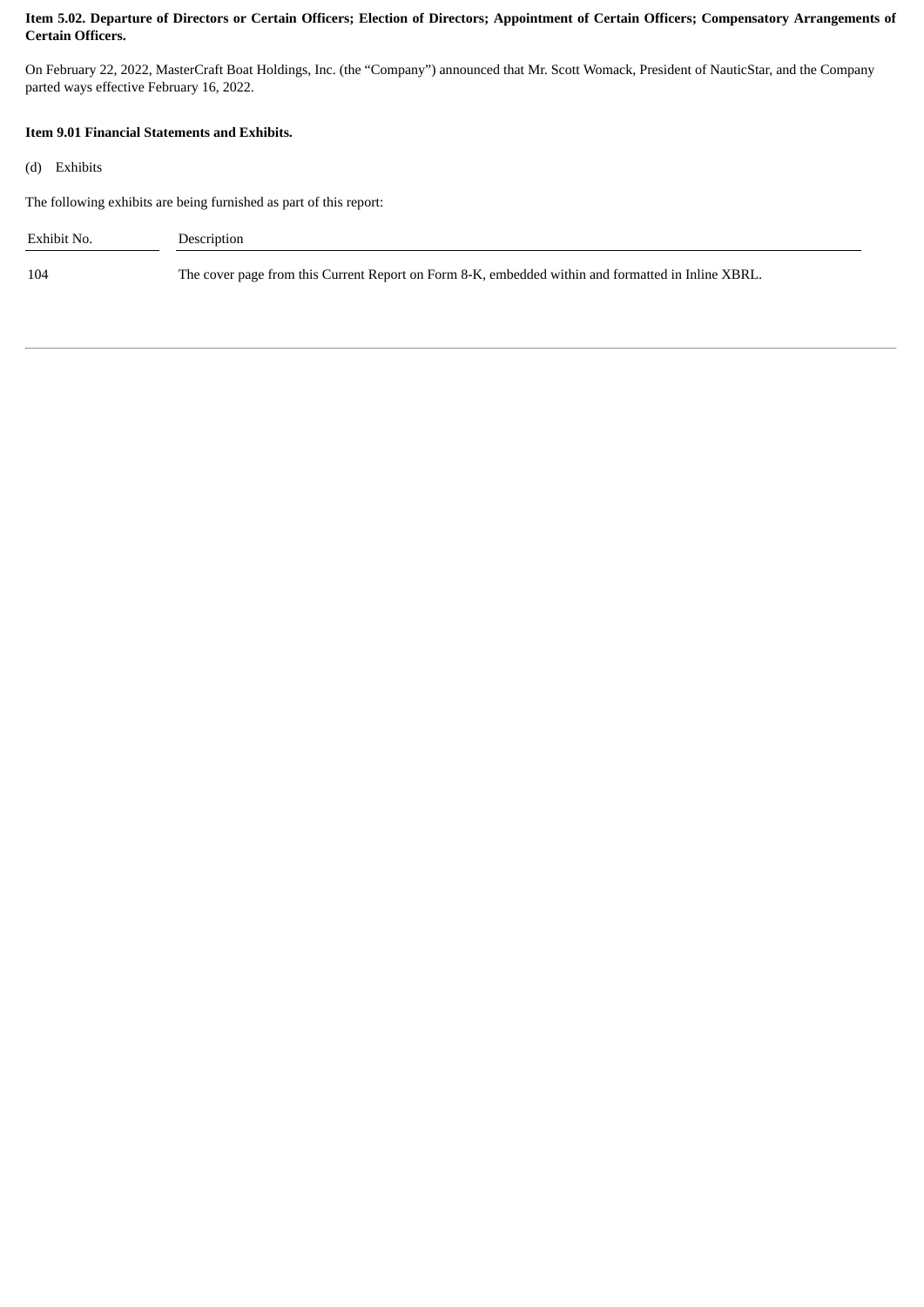#### Item 5.02. Departure of Directors or Certain Officers; Election of Directors; Appointment of Certain Officers; Compensatory Arrangements of **Certain Officers.**

On February 22, 2022, MasterCraft Boat Holdings, Inc. (the "Company") announced that Mr. Scott Womack, President of NauticStar, and the Company parted ways effective February 16, 2022.

#### **Item 9.01 Financial Statements and Exhibits.**

|  | (d) | Exhibits |
|--|-----|----------|
|--|-----|----------|

The following exhibits are being furnished as part of this report:

| Exhibit No. | Description                                                                                        |
|-------------|----------------------------------------------------------------------------------------------------|
| 104         | The cover page from this Current Report on Form 8-K, embedded within and formatted in Inline XBRL. |